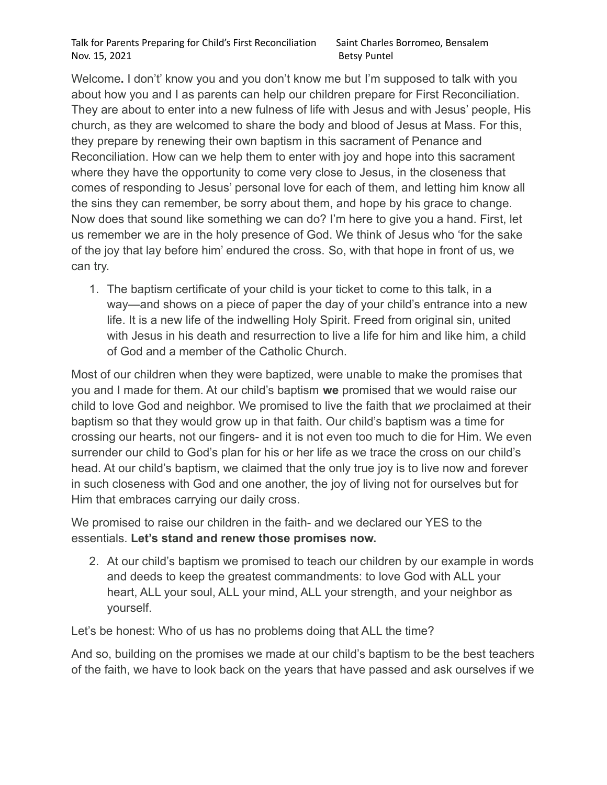Welcome**.** I don't' know you and you don't know me but I'm supposed to talk with you about how you and I as parents can help our children prepare for First Reconciliation. They are about to enter into a new fulness of life with Jesus and with Jesus' people, His church, as they are welcomed to share the body and blood of Jesus at Mass. For this, they prepare by renewing their own baptism in this sacrament of Penance and Reconciliation. How can we help them to enter with joy and hope into this sacrament where they have the opportunity to come very close to Jesus, in the closeness that comes of responding to Jesus' personal love for each of them, and letting him know all the sins they can remember, be sorry about them, and hope by his grace to change. Now does that sound like something we can do? I'm here to give you a hand. First, let us remember we are in the holy presence of God. We think of Jesus who 'for the sake of the joy that lay before him' endured the cross. So, with that hope in front of us, we can try.

1. The baptism certificate of your child is your ticket to come to this talk, in a way—and shows on a piece of paper the day of your child's entrance into a new life. It is a new life of the indwelling Holy Spirit. Freed from original sin, united with Jesus in his death and resurrection to live a life for him and like him, a child of God and a member of the Catholic Church.

Most of our children when they were baptized, were unable to make the promises that you and I made for them. At our child's baptism **we** promised that we would raise our child to love God and neighbor. We promised to live the faith that *we* proclaimed at their baptism so that they would grow up in that faith. Our child's baptism was a time for crossing our hearts, not our fingers- and it is not even too much to die for Him. We even surrender our child to God's plan for his or her life as we trace the cross on our child's head. At our child's baptism, we claimed that the only true joy is to live now and forever in such closeness with God and one another, the joy of living not for ourselves but for Him that embraces carrying our daily cross.

We promised to raise our children in the faith- and we declared our YES to the essentials. **Let's stand and renew those promises now.**

2. At our child's baptism we promised to teach our children by our example in words and deeds to keep the greatest commandments: to love God with ALL your heart, ALL your soul, ALL your mind, ALL your strength, and your neighbor as yourself.

Let's be honest: Who of us has no problems doing that ALL the time?

And so, building on the promises we made at our child's baptism to be the best teachers of the faith, we have to look back on the years that have passed and ask ourselves if we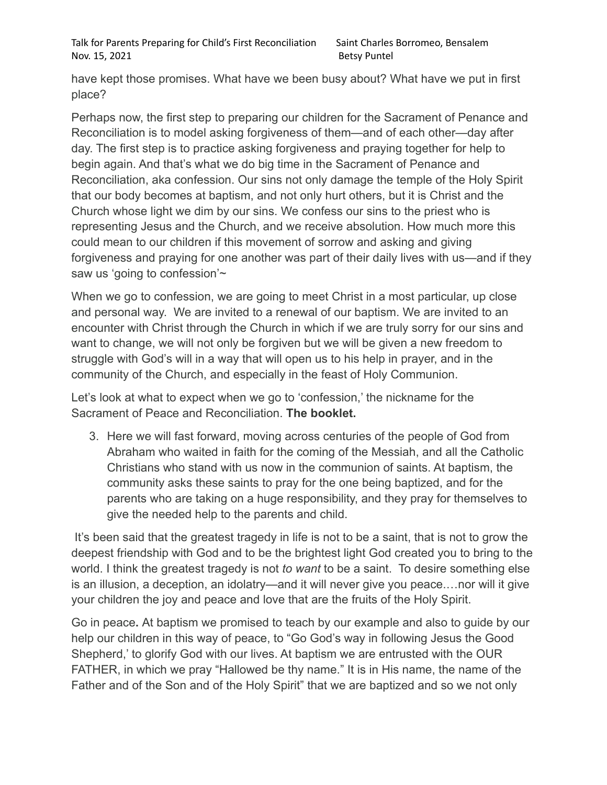Talk for Parents Preparing for Child's First Reconciliation Saint Charles Borromeo, Bensalem Nov. 15, 2021 Betsy Puntel

have kept those promises. What have we been busy about? What have we put in first place?

Perhaps now, the first step to preparing our children for the Sacrament of Penance and Reconciliation is to model asking forgiveness of them—and of each other—day after day. The first step is to practice asking forgiveness and praying together for help to begin again. And that's what we do big time in the Sacrament of Penance and Reconciliation, aka confession. Our sins not only damage the temple of the Holy Spirit that our body becomes at baptism, and not only hurt others, but it is Christ and the Church whose light we dim by our sins. We confess our sins to the priest who is representing Jesus and the Church, and we receive absolution. How much more this could mean to our children if this movement of sorrow and asking and giving forgiveness and praying for one another was part of their daily lives with us—and if they saw us 'going to confession'~

When we go to confession, we are going to meet Christ in a most particular, up close and personal way. We are invited to a renewal of our baptism. We are invited to an encounter with Christ through the Church in which if we are truly sorry for our sins and want to change, we will not only be forgiven but we will be given a new freedom to struggle with God's will in a way that will open us to his help in prayer, and in the community of the Church, and especially in the feast of Holy Communion.

Let's look at what to expect when we go to 'confession,' the nickname for the Sacrament of Peace and Reconciliation. **The booklet.**

3. Here we will fast forward, moving across centuries of the people of God from Abraham who waited in faith for the coming of the Messiah, and all the Catholic Christians who stand with us now in the communion of saints. At baptism, the community asks these saints to pray for the one being baptized, and for the parents who are taking on a huge responsibility, and they pray for themselves to give the needed help to the parents and child.

It's been said that the greatest tragedy in life is not to be a saint, that is not to grow the deepest friendship with God and to be the brightest light God created you to bring to the world. I think the greatest tragedy is not *to want* to be a saint. To desire something else is an illusion, a deception, an idolatry—and it will never give you peace.…nor will it give your children the joy and peace and love that are the fruits of the Holy Spirit.

Go in peace**.** At baptism we promised to teach by our example and also to guide by our help our children in this way of peace, to "Go God's way in following Jesus the Good Shepherd,' to glorify God with our lives. At baptism we are entrusted with the OUR FATHER, in which we pray "Hallowed be thy name." It is in His name, the name of the Father and of the Son and of the Holy Spirit" that we are baptized and so we not only